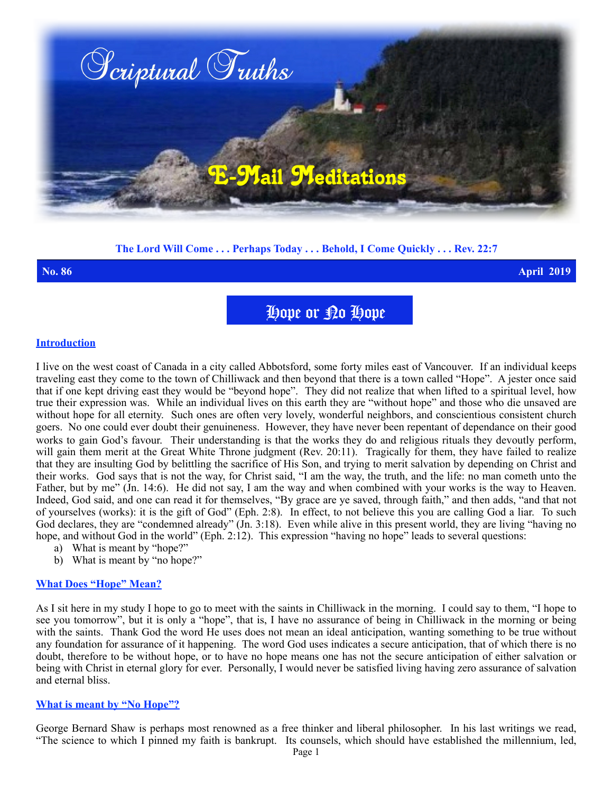

# **The Lord Will Come . . . Perhaps Today . . . Behold, I Come Quickly . . . Rev. 22:7**

**No. 86 April 2019**

Hope or No Hope

### **Introduction**

I live on the west coast of Canada in a city called Abbotsford, some forty miles east of Vancouver. If an individual keeps traveling east they come to the town of Chilliwack and then beyond that there is a town called "Hope". A jester once said that if one kept driving east they would be "beyond hope". They did not realize that when lifted to a spiritual level, how true their expression was. While an individual lives on this earth they are "without hope" and those who die unsaved are without hope for all eternity. Such ones are often very lovely, wonderful neighbors, and conscientious consistent church goers. No one could ever doubt their genuineness. However, they have never been repentant of dependance on their good works to gain God's favour. Their understanding is that the works they do and religious rituals they devoutly perform, will gain them merit at the Great White Throne judgment (Rev. 20:11). Tragically for them, they have failed to realize that they are insulting God by belittling the sacrifice of His Son, and trying to merit salvation by depending on Christ and their works. God says that is not the way, for Christ said, "I am the way, the truth, and the life: no man cometh unto the Father, but by me" (Jn. 14:6). He did not say, I am the way and when combined with your works is the way to Heaven. Indeed, God said, and one can read it for themselves, "By grace are ye saved, through faith," and then adds, "and that not of yourselves (works): it is the gift of God" (Eph. 2:8). In effect, to not believe this you are calling God a liar. To such God declares, they are "condemned already" (Jn. 3:18). Even while alive in this present world, they are living "having no hope, and without God in the world" (Eph. 2:12). This expression "having no hope" leads to several questions:

- a) What is meant by "hope?"
- b) What is meant by "no hope?"

### **What Does "Hope" Mean?**

As I sit here in my study I hope to go to meet with the saints in Chilliwack in the morning. I could say to them, "I hope to see you tomorrow", but it is only a "hope", that is, I have no assurance of being in Chilliwack in the morning or being with the saints. Thank God the word He uses does not mean an ideal anticipation, wanting something to be true without any foundation for assurance of it happening. The word God uses indicates a secure anticipation, that of which there is no doubt, therefore to be without hope, or to have no hope means one has not the secure anticipation of either salvation or being with Christ in eternal glory for ever. Personally, I would never be satisfied living having zero assurance of salvation and eternal bliss.

### **What is meant by "No Hope"?**

George Bernard Shaw is perhaps most renowned as a free thinker and liberal philosopher. In his last writings we read, "The science to which I pinned my faith is bankrupt. Its counsels, which should have established the millennium, led,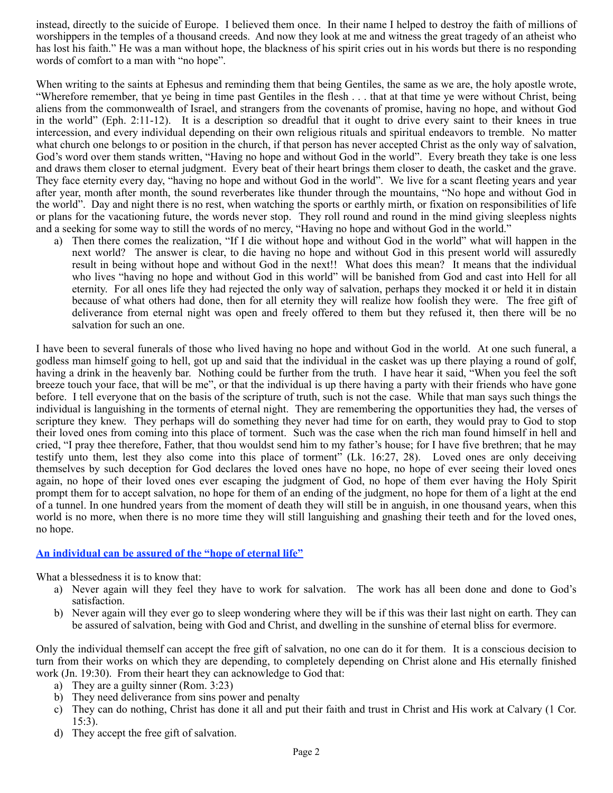instead, directly to the suicide of Europe. I believed them once. In their name I helped to destroy the faith of millions of worshippers in the temples of a thousand creeds. And now they look at me and witness the great tragedy of an atheist who has lost his faith." He was a man without hope, the blackness of his spirit cries out in his words but there is no responding words of comfort to a man with "no hope".

When writing to the saints at Ephesus and reminding them that being Gentiles, the same as we are, the holy apostle wrote, "Wherefore remember, that ye being in time past Gentiles in the flesh . . . that at that time ye were without Christ, being aliens from the commonwealth of Israel, and strangers from the covenants of promise, having no hope, and without God in the world" (Eph. 2:11-12). It is a description so dreadful that it ought to drive every saint to their knees in true intercession, and every individual depending on their own religious rituals and spiritual endeavors to tremble. No matter what church one belongs to or position in the church, if that person has never accepted Christ as the only way of salvation, God's word over them stands written, "Having no hope and without God in the world". Every breath they take is one less and draws them closer to eternal judgment. Every beat of their heart brings them closer to death, the casket and the grave. They face eternity every day, "having no hope and without God in the world". We live for a scant fleeting years and year after year, month after month, the sound reverberates like thunder through the mountains, "No hope and without God in the world". Day and night there is no rest, when watching the sports or earthly mirth, or fixation on responsibilities of life or plans for the vacationing future, the words never stop. They roll round and round in the mind giving sleepless nights and a seeking for some way to still the words of no mercy, "Having no hope and without God in the world."

a) Then there comes the realization, "If I die without hope and without God in the world" what will happen in the next world? The answer is clear, to die having no hope and without God in this present world will assuredly result in being without hope and without God in the next!! What does this mean? It means that the individual who lives "having no hope and without God in this world" will be banished from God and cast into Hell for all eternity. For all ones life they had rejected the only way of salvation, perhaps they mocked it or held it in distain because of what others had done, then for all eternity they will realize how foolish they were. The free gift of deliverance from eternal night was open and freely offered to them but they refused it, then there will be no salvation for such an one.

I have been to several funerals of those who lived having no hope and without God in the world. At one such funeral, a godless man himself going to hell, got up and said that the individual in the casket was up there playing a round of golf, having a drink in the heavenly bar. Nothing could be further from the truth. I have hear it said, "When you feel the soft breeze touch your face, that will be me", or that the individual is up there having a party with their friends who have gone before. I tell everyone that on the basis of the scripture of truth, such is not the case. While that man says such things the individual is languishing in the torments of eternal night. They are remembering the opportunities they had, the verses of scripture they knew. They perhaps will do something they never had time for on earth, they would pray to God to stop their loved ones from coming into this place of torment. Such was the case when the rich man found himself in hell and cried, "I pray thee therefore, Father, that thou wouldst send him to my father's house; for I have five brethren; that he may testify unto them, lest they also come into this place of torment" (Lk. 16:27, 28). Loved ones are only deceiving themselves by such deception for God declares the loved ones have no hope, no hope of ever seeing their loved ones again, no hope of their loved ones ever escaping the judgment of God, no hope of them ever having the Holy Spirit prompt them for to accept salvation, no hope for them of an ending of the judgment, no hope for them of a light at the end of a tunnel. In one hundred years from the moment of death they will still be in anguish, in one thousand years, when this world is no more, when there is no more time they will still languishing and gnashing their teeth and for the loved ones, no hope.

## **An individual can be assured of the "hope of eternal life"**

What a blessedness it is to know that:

- a) Never again will they feel they have to work for salvation. The work has all been done and done to God's satisfaction.
- b) Never again will they ever go to sleep wondering where they will be if this was their last night on earth. They can be assured of salvation, being with God and Christ, and dwelling in the sunshine of eternal bliss for evermore.

Only the individual themself can accept the free gift of salvation, no one can do it for them. It is a conscious decision to turn from their works on which they are depending, to completely depending on Christ alone and His eternally finished work (Jn. 19:30). From their heart they can acknowledge to God that:

- a) They are a guilty sinner (Rom. 3:23)
- b) They need deliverance from sins power and penalty
- c) They can do nothing, Christ has done it all and put their faith and trust in Christ and His work at Calvary (1 Cor. 15:3).
- d) They accept the free gift of salvation.